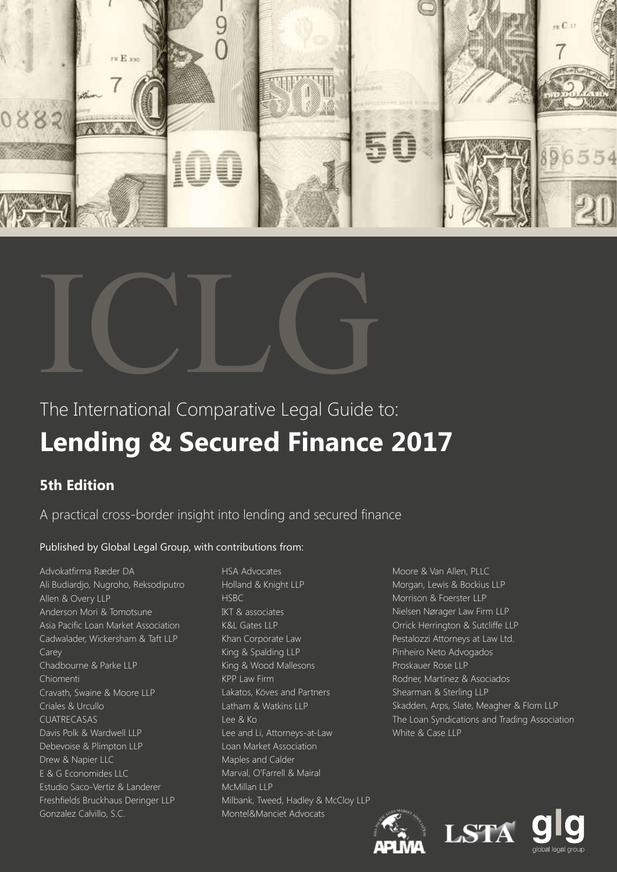



## The International Comparative Legal Guide to: **Lending & Secured Finance 2017**

## **5th Edition**

A practical cross-border insight into lending and secured finance

### Published by Global Legal Group, with contributions from:

Advokatfirma Ræder DA Ali Budiardjo, Nugroho, Reksodiputro Allen & Overy LLP Anderson Mori & Tomotsune Asia Pacific Loan Market Association Cadwalader, Wickersham & Taft LLP Carey Chadbourne & Parke LLP Chiomenti Cravath, Swaine & Moore LLP Criales & Urcullo CUATRECASAS Davis Polk & Wardwell LLP Debevoise & Plimpton LLP Drew & Napier LLC E & G Economides LLC Estudio Saco-Vertiz & Landerer Freshfields Bruckhaus Deringer LLP Gonzalez Calvillo, S.C.

HSA Advocates Holland & Knight LLP HSBC IKT & associates K&L Gates LLP Khan Corporate Law King & Spalding LLP King & Wood Mallesons KPP Law Firm Lakatos, Köves and Partners Latham & Watkins LLP Lee & Ko Lee and Li, Attorneys-at-Law Loan Market Association Maples and Calder Marval, O'Farrell & Mairal McMillan LLP Milbank, Tweed, Hadley & McCloy LLP Montel&Manciet Advocats

Moore & Van Allen, PLLC Morgan, Lewis & Bockius LLP Morrison & Foerster LLP Nielsen Nørager Law Firm LLP Orrick Herrington & Sutcliffe LLP Pestalozzi Attorneys at Law Ltd. Pinheiro Neto Advogados Proskauer Rose LLP Rodner, Martínez & Asociados Shearman & Sterling LLP Skadden, Arps, Slate, Meagher & Flom LLP The Loan Syndications and Trading Association White & Case LLP



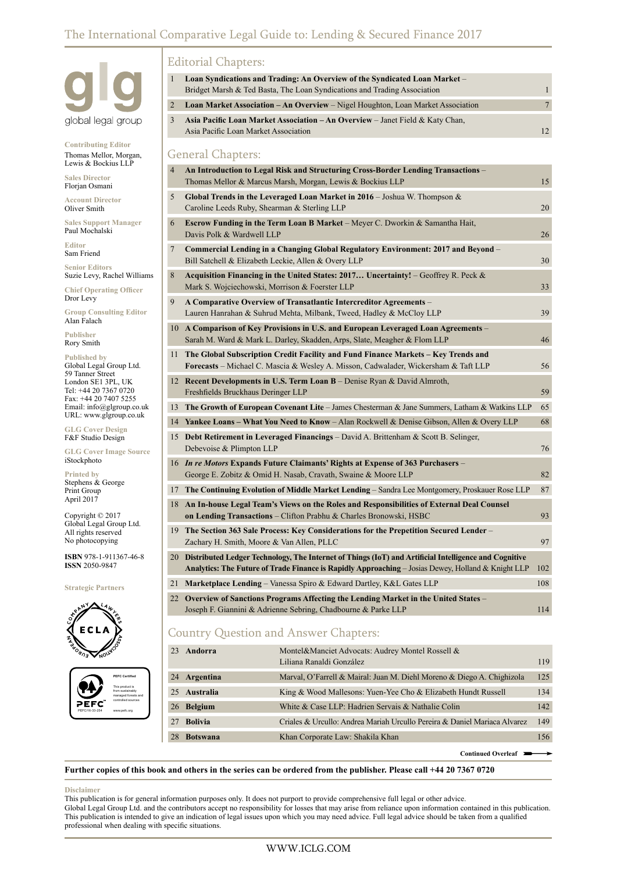## The International Comparative Legal Guide to: Lending & Secured Finance 2017



**Contributing Editor** Thomas Mellor, Morgan, Lewis & Bockius LLP

**Sales Director** Florjan Osmani

**Account Director** Oliver Smith

**Sales Support Manager** Paul Mochalski

**Editor** Sam Friend

**Senior Editors** Suzie Levy, Rachel Williams

**Chief Operating Officer** Dror Levy

**Group Consulting Editor** Alan Falach

**Publisher** Rory Smith

**Published by** Global Legal Group Ltd. 59 Tanner Street London SE1 3PL, UK Tel: +44 20 7367 0720 Fax: +44 20 7407 5255 Email: info@glgroup.co.uk URL: www.glgroup.co.uk

**GLG Cover Design** F&F Studio Design

**GLG Cover Image Source** iStockphoto

**Printed by** Stephens & George Print Group April 2017

Copyright © 2017 Global Legal Group Ltd. All rights reserved No photocopying

**ISBN** 978-1-911367-46-8 **ISSN** 2050-9847

**Strategic Partners**





#### Editorial Chapters:

| $\mathbf{1}$        | Loan Syndications and Trading: An Overview of the Syndicated Loan Market -                                                                                                                                     |                                |
|---------------------|----------------------------------------------------------------------------------------------------------------------------------------------------------------------------------------------------------------|--------------------------------|
|                     | Bridget Marsh & Ted Basta, The Loan Syndications and Trading Association                                                                                                                                       | $\mathbf{1}$<br>$\overline{7}$ |
| $\overline{2}$<br>3 | Loan Market Association - An Overview - Nigel Houghton, Loan Market Association                                                                                                                                |                                |
|                     | Asia Pacific Loan Market Association - An Overview - Janet Field & Katy Chan,<br>Asia Pacific Loan Market Association                                                                                          | 12                             |
|                     | <b>General Chapters:</b>                                                                                                                                                                                       |                                |
| $\overline{4}$      | An Introduction to Legal Risk and Structuring Cross-Border Lending Transactions -<br>Thomas Mellor & Marcus Marsh, Morgan, Lewis & Bockius LLP                                                                 | 15                             |
| 5                   | Global Trends in the Leveraged Loan Market in $2016$ – Joshua W. Thompson &<br>Caroline Leeds Ruby, Shearman & Sterling LLP                                                                                    | 20                             |
| 6                   | <b>Escrow Funding in the Term Loan B Market</b> – Meyer C. Dworkin & Samantha Hait,<br>Davis Polk & Wardwell LLP                                                                                               | 26                             |
| 7                   | Commercial Lending in a Changing Global Regulatory Environment: 2017 and Beyond -<br>Bill Satchell & Elizabeth Leckie, Allen & Overy LLP                                                                       | 30                             |
| 8                   | Acquisition Financing in the United States: 2017 Uncertainty! - Geoffrey R. Peck &<br>Mark S. Wojciechowski, Morrison & Foerster LLP                                                                           | 33                             |
| 9                   | A Comparative Overview of Transatlantic Intercreditor Agreements -<br>Lauren Hanrahan & Suhrud Mehta, Milbank, Tweed, Hadley & McCloy LLP                                                                      | 39                             |
|                     | 10 A Comparison of Key Provisions in U.S. and European Leveraged Loan Agreements –<br>Sarah M. Ward & Mark L. Darley, Skadden, Arps, Slate, Meagher & Flom LLP                                                 | 46                             |
| 11                  | The Global Subscription Credit Facility and Fund Finance Markets – Key Trends and<br><b>Forecasts</b> – Michael C. Mascia & Wesley A. Misson, Cadwalader, Wickersham & Taft LLP                                | 56                             |
|                     | 12 Recent Developments in U.S. Term Loan B – Denise Ryan & David Almroth,<br>Freshfields Bruckhaus Deringer LLP                                                                                                | 59                             |
|                     | 13 The Growth of European Covenant Lite – James Chesterman & Jane Summers, Latham & Watkins LLP                                                                                                                | 65                             |
|                     | 14 Yankee Loans – What You Need to Know – Alan Rockwell & Denise Gibson, Allen & Overy LLP                                                                                                                     | 68                             |
|                     | 15 Debt Retirement in Leveraged Financings – David A. Brittenham & Scott B. Selinger,<br>Debevoise & Plimpton LLP                                                                                              | 76                             |
|                     | 16 In re Motors Expands Future Claimants' Rights at Expense of 363 Purchasers -<br>George E. Zobitz & Omid H. Nasab, Cravath, Swaine & Moore LLP                                                               | 82                             |
|                     | 17 The Continuing Evolution of Middle Market Lending - Sandra Lee Montgomery, Proskauer Rose LLP                                                                                                               | 87                             |
|                     | 18 An In-house Legal Team's Views on the Roles and Responsibilities of External Deal Counsel<br>on Lending Transactions - Clifton Prabhu & Charles Bronowski, HSBC                                             | 93                             |
| 19                  | The Section 363 Sale Process: Key Considerations for the Prepetition Secured Lender –<br>Zachary H. Smith, Moore & Van Allen, PLLC                                                                             | 97                             |
|                     | 20 Distributed Ledger Technology, The Internet of Things (IoT) and Artificial Intelligence and Cognitive<br>Analytics: The Future of Trade Finance is Rapidly Approaching – Josias Dewey, Holland & Knight LLP | 102                            |
|                     | 21 Marketplace Lending - Vanessa Spiro & Edward Dartley, K&L Gates LLP                                                                                                                                         | 108                            |
|                     | 22 Overview of Sanctions Programs Affecting the Lending Market in the United States –                                                                                                                          |                                |

22 **Overview of Sanctions Programs Affecting the Lending Market in the United States** – Joseph F. Giannini & Adrienne Sebring, Chadbourne & Parke LLP 114

## Country Question and Answer Chapters:

| 23 Andorra   | Montel&Manciet Advocats: Audrey Montel Rossell &<br>Liliana Ranaldi González | 119 |
|--------------|------------------------------------------------------------------------------|-----|
| 24 Argentina | Marval, O'Farrell & Mairal: Juan M. Diehl Moreno & Diego A. Chighizola       | 125 |
| 25 Australia | King & Wood Mallesons: Yuen-Yee Cho & Elizabeth Hundt Russell                | 134 |
| 26 Belgium   | White & Case LLP: Hadrien Servais & Nathalie Colin                           | 142 |
| 27 Bolivia   | Criales & Urcullo: Andrea Mariah Urcullo Pereira & Daniel Mariaca Alvarez    | 149 |
| 28 Botswana  | Khan Corporate Law: Shakila Khan                                             | 156 |

**Continued Overleaf**

**Further copies of this book and others in the series can be ordered from the publisher. Please call +44 20 7367 0720**

#### **Disclaimer**

This publication is for general information purposes only. It does not purport to provide comprehensive full legal or other advice. Global Legal Group Ltd. and the contributors accept no responsibility for losses that may arise from reliance upon information contained in this publication. This publication is intended to give an indication of legal issues upon which you may need advice. Full legal advice should be taken from a qualified professional when dealing with specific situations.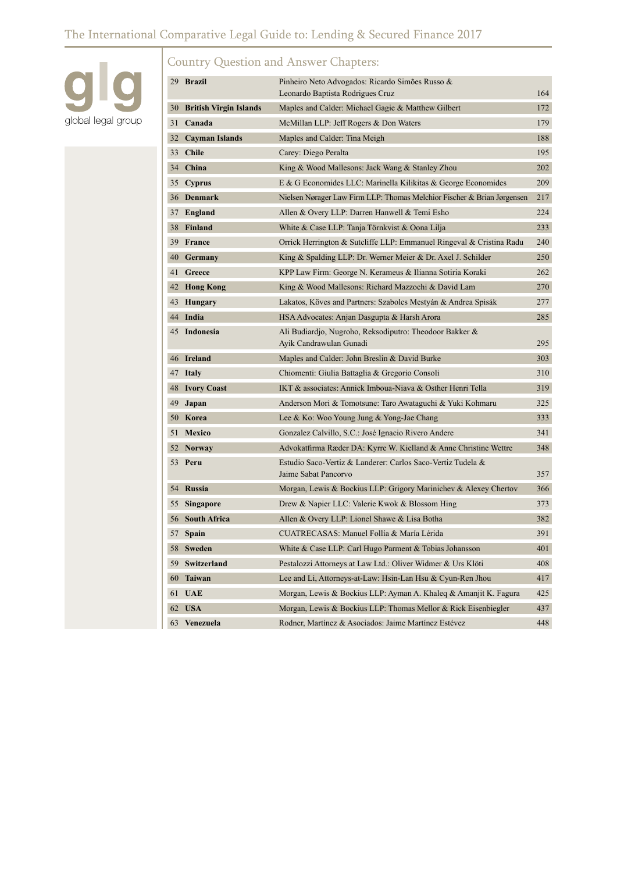## The International Comparative Legal Guide to: Lending & Secured Finance 2017



## Country Question and Answer Chapters:

|    | 29 Brazil                 | Pinheiro Neto Advogados: Ricardo Simões Russo &                                     |     |
|----|---------------------------|-------------------------------------------------------------------------------------|-----|
|    |                           | Leonardo Baptista Rodrigues Cruz                                                    | 164 |
|    | 30 British Virgin Islands | Maples and Calder: Michael Gagie & Matthew Gilbert                                  | 172 |
|    | 31 Canada                 | McMillan LLP: Jeff Rogers & Don Waters                                              | 179 |
| 32 | <b>Cayman Islands</b>     | Maples and Calder: Tina Meigh                                                       | 188 |
|    | 33 Chile                  | Carey: Diego Peralta                                                                | 195 |
|    | 34 China                  | King & Wood Mallesons: Jack Wang & Stanley Zhou                                     | 202 |
| 35 | <b>Cyprus</b>             | E & G Economides LLC: Marinella Kilikitas & George Economides                       | 209 |
|    | 36 Denmark                | Nielsen Nørager Law Firm LLP: Thomas Melchior Fischer & Brian Jørgensen             | 217 |
| 37 | England                   | Allen & Overy LLP: Darren Hanwell & Temi Esho                                       | 224 |
|    | 38 Finland                | White & Case LLP: Tanja Törnkvist & Oona Lilja                                      | 233 |
|    | 39 France                 | Orrick Herrington & Sutcliffe LLP: Emmanuel Ringeval & Cristina Radu                | 240 |
|    | 40 Germany                | King & Spalding LLP: Dr. Werner Meier & Dr. Axel J. Schilder                        | 250 |
|    | 41 Greece                 | KPP Law Firm: George N. Kerameus & Ilianna Sotiria Koraki                           | 262 |
| 42 | <b>Hong Kong</b>          | King & Wood Mallesons: Richard Mazzochi & David Lam                                 | 270 |
| 43 | Hungary                   | Lakatos, Köves and Partners: Szabolcs Mestyán & Andrea Spisák                       | 277 |
|    | 44 India                  | HSA Advocates: Anjan Dasgupta & Harsh Arora                                         | 285 |
|    | 45 Indonesia              | Ali Budiardjo, Nugroho, Reksodiputro: Theodoor Bakker &<br>Ayik Candrawulan Gunadi  | 295 |
|    | 46 Ireland                | Maples and Calder: John Breslin & David Burke                                       | 303 |
| 47 | <b>Italy</b>              | Chiomenti: Giulia Battaglia & Gregorio Consoli                                      | 310 |
| 48 | <b>Ivory Coast</b>        | IKT & associates: Annick Imboua-Niava & Osther Henri Tella                          | 319 |
| 49 | Japan                     | Anderson Mori & Tomotsune: Taro Awataguchi & Yuki Kohmaru                           | 325 |
|    | 50 Korea                  | Lee & Ko: Woo Young Jung & Yong-Jae Chang                                           | 333 |
| 51 | Mexico                    | Gonzalez Calvillo, S.C.: José Ignacio Rivero Andere                                 | 341 |
|    | 52 Norway                 | Advokatfirma Ræder DA: Kyrre W. Kielland & Anne Christine Wettre                    | 348 |
| 53 | Peru                      | Estudio Saco-Vertiz & Landerer: Carlos Saco-Vertiz Tudela &<br>Jaime Sabat Pancorvo | 357 |
|    | 54 Russia                 | Morgan, Lewis & Bockius LLP: Grigory Marinichev & Alexey Chertov                    | 366 |
| 55 | <b>Singapore</b>          | Drew & Napier LLC: Valerie Kwok & Blossom Hing                                      | 373 |
|    | 56 South Africa           | Allen & Overy LLP: Lionel Shawe & Lisa Botha                                        | 382 |
| 57 | Spain                     | CUATRECASAS: Manuel Follía & María Lérida                                           | 391 |
| 58 | Sweden                    | White & Case LLP: Carl Hugo Parment & Tobias Johansson                              | 401 |
| 59 | Switzerland               | Pestalozzi Attorneys at Law Ltd.: Oliver Widmer & Urs Klöti                         | 408 |
| 60 | <b>Taiwan</b>             | Lee and Li, Attorneys-at-Law: Hsin-Lan Hsu & Cyun-Ren Jhou                          | 417 |
| 61 | <b>UAE</b>                | Morgan, Lewis & Bockius LLP: Ayman A. Khaleq & Amanjit K. Fagura                    | 425 |
| 62 | <b>USA</b>                | Morgan, Lewis & Bockius LLP: Thomas Mellor & Rick Eisenbiegler                      | 437 |
| 63 | Venezuela                 | Rodner, Martínez & Asociados: Jaime Martínez Estévez                                | 448 |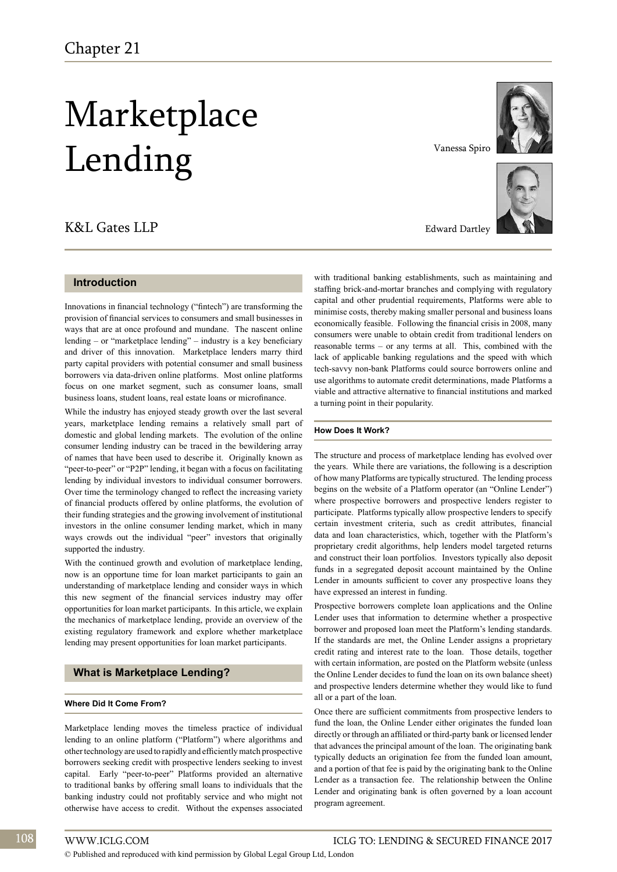# Marketplace Lending

## K&L Gates LLP

#### **Introduction**

Innovations in financial technology ("fintech") are transforming the provision of financial services to consumers and small businesses in ways that are at once profound and mundane. The nascent online lending – or "marketplace lending" – industry is a key beneficiary and driver of this innovation. Marketplace lenders marry third party capital providers with potential consumer and small business borrowers via data-driven online platforms. Most online platforms focus on one market segment, such as consumer loans, small business loans, student loans, real estate loans or microfinance.

While the industry has enjoyed steady growth over the last several years, marketplace lending remains a relatively small part of domestic and global lending markets. The evolution of the online consumer lending industry can be traced in the bewildering array of names that have been used to describe it. Originally known as "peer-to-peer" or "P2P" lending, it began with a focus on facilitating lending by individual investors to individual consumer borrowers. Over time the terminology changed to reflect the increasing variety of financial products offered by online platforms, the evolution of their funding strategies and the growing involvement of institutional investors in the online consumer lending market, which in many ways crowds out the individual "peer" investors that originally supported the industry.

With the continued growth and evolution of marketplace lending, now is an opportune time for loan market participants to gain an understanding of marketplace lending and consider ways in which this new segment of the financial services industry may offer opportunities for loan market participants. In this article, we explain the mechanics of marketplace lending, provide an overview of the existing regulatory framework and explore whether marketplace lending may present opportunities for loan market participants.

#### **What is Marketplace Lending?**

#### **Where Did It Come From?**

Marketplace lending moves the timeless practice of individual lending to an online platform ("Platform") where algorithms and other technology are used to rapidly and efficiently match prospective borrowers seeking credit with prospective lenders seeking to invest capital. Early "peer-to-peer" Platforms provided an alternative to traditional banks by offering small loans to individuals that the banking industry could not profitably service and who might not otherwise have access to credit. Without the expenses associated



Vanessa Spiro



Edward Dartley

with traditional banking establishments, such as maintaining and staffing brick-and-mortar branches and complying with regulatory capital and other prudential requirements, Platforms were able to minimise costs, thereby making smaller personal and business loans economically feasible. Following the financial crisis in 2008, many consumers were unable to obtain credit from traditional lenders on reasonable terms – or any terms at all. This, combined with the lack of applicable banking regulations and the speed with which tech-savvy non-bank Platforms could source borrowers online and use algorithms to automate credit determinations, made Platforms a viable and attractive alternative to financial institutions and marked a turning point in their popularity.

#### **How Does It Work?**

The structure and process of marketplace lending has evolved over the years. While there are variations, the following is a description of how many Platforms are typically structured. The lending process begins on the website of a Platform operator (an "Online Lender") where prospective borrowers and prospective lenders register to participate. Platforms typically allow prospective lenders to specify certain investment criteria, such as credit attributes, financial data and loan characteristics, which, together with the Platform's proprietary credit algorithms, help lenders model targeted returns and construct their loan portfolios. Investors typically also deposit funds in a segregated deposit account maintained by the Online Lender in amounts sufficient to cover any prospective loans they have expressed an interest in funding.

Prospective borrowers complete loan applications and the Online Lender uses that information to determine whether a prospective borrower and proposed loan meet the Platform's lending standards. If the standards are met, the Online Lender assigns a proprietary credit rating and interest rate to the loan. Those details, together with certain information, are posted on the Platform website (unless the Online Lender decides to fund the loan on its own balance sheet) and prospective lenders determine whether they would like to fund all or a part of the loan.

Once there are sufficient commitments from prospective lenders to fund the loan, the Online Lender either originates the funded loan directly or through an affiliated or third-party bank or licensed lender that advances the principal amount of the loan. The originating bank typically deducts an origination fee from the funded loan amount, and a portion of that fee is paid by the originating bank to the Online Lender as a transaction fee. The relationship between the Online Lender and originating bank is often governed by a loan account program agreement.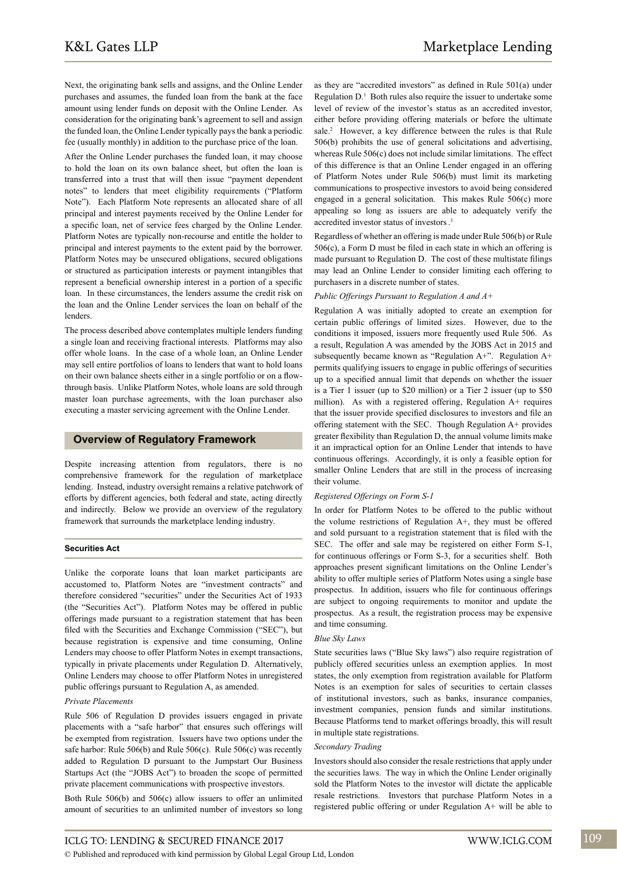Next, the originating bank sells and assigns, and the Online Lender purchases and assumes, the funded loan from the bank at the face amount using lender funds on deposit with the Online Lender. As consideration for the originating bank's agreement to sell and assign the funded loan, the Online Lender typically pays the bank a periodic fee (usually monthly) in addition to the purchase price of the loan.

After the Online Lender purchases the funded loan, it may choose to hold the loan on its own balance sheet, but often the loan is transferred into a trust that will then issue "payment dependent notes" to lenders that meet eligibility requirements ("Platform Note"). Each Platform Note represents an allocated share of all principal and interest payments received by the Online Lender for a specific loan, net of service fees charged by the Online Lender. Platform Notes are typically non-recourse and entitle the holder to principal and interest payments to the extent paid by the borrower. Platform Notes may be unsecured obligations, secured obligations or structured as participation interests or payment intangibles that represent a beneficial ownership interest in a portion of a specific loan. In these circumstances, the lenders assume the credit risk on the loan and the Online Lender services the loan on behalf of the lenders.

The process described above contemplates multiple lenders funding a single loan and receiving fractional interests. Platforms may also offer whole loans. In the case of a whole loan, an Online Lender may sell entire portfolios of loans to lenders that want to hold loans on their own balance sheets either in a single portfolio or on a flowthrough basis. Unlike Platform Notes, whole loans are sold through master loan purchase agreements, with the loan purchaser also executing a master servicing agreement with the Online Lender.

#### **Overview of Regulatory Framework**

Despite increasing attention from regulators, there is no comprehensive framework for the regulation of marketplace lending. Instead, industry oversight remains a relative patchwork of efforts by different agencies, both federal and state, acting directly and indirectly. Below we provide an overview of the regulatory framework that surrounds the marketplace lending industry.

#### **Securities Act**

Unlike the corporate loans that loan market participants are accustomed to, Platform Notes are "investment contracts" and therefore considered "securities" under the Securities Act of 1933 (the "Securities Act"). Platform Notes may be offered in public offerings made pursuant to a registration statement that has been filed with the Securities and Exchange Commission ("SEC"), but because registration is expensive and time consuming, Online Lenders may choose to offer Platform Notes in exempt transactions, typically in private placements under Regulation D. Alternatively, Online Lenders may choose to offer Platform Notes in unregistered public offerings pursuant to Regulation A, as amended.

#### *Private Placements*

Rule 506 of Regulation D provides issuers engaged in private placements with a "safe harbor" that ensures such offerings will be exempted from registration. Issuers have two options under the safe harbor: Rule 506(b) and Rule 506(c). Rule 506(c) was recently added to Regulation D pursuant to the Jumpstart Our Business Startups Act (the "JOBS Act") to broaden the scope of permitted private placement communications with prospective investors.

Both Rule 506(b) and 506(c) allow issuers to offer an unlimited amount of securities to an unlimited number of investors so long

as they are "accredited investors" as defined in Rule 501(a) under Regulation  $D<sup>1</sup>$  Both rules also require the issuer to undertake some level of review of the investor's status as an accredited investor, either before providing offering materials or before the ultimate sale.<sup>2</sup> However, a key difference between the rules is that Rule 506(b) prohibits the use of general solicitations and advertising, whereas Rule 506(c) does not include similar limitations. The effect of this difference is that an Online Lender engaged in an offering of Platform Notes under Rule 506(b) must limit its marketing communications to prospective investors to avoid being considered engaged in a general solicitation. This makes Rule 506(c) more appealing so long as issuers are able to adequately verify the accredited investor status of investors. 3

Regardless of whether an offering is made under Rule 506(b) or Rule 506(c), a Form D must be filed in each state in which an offering is made pursuant to Regulation D. The cost of these multistate filings may lead an Online Lender to consider limiting each offering to purchasers in a discrete number of states.

*Public Offerings Pursuant to Regulation A and A+*

Regulation A was initially adopted to create an exemption for certain public offerings of limited sizes. However, due to the conditions it imposed, issuers more frequently used Rule 506. As a result, Regulation A was amended by the JOBS Act in 2015 and subsequently became known as "Regulation A+". Regulation A+ permits qualifying issuers to engage in public offerings of securities up to a specified annual limit that depends on whether the issuer is a Tier 1 issuer (up to \$20 million) or a Tier 2 issuer (up to \$50 million). As with a registered offering, Regulation A+ requires that the issuer provide specified disclosures to investors and file an offering statement with the SEC. Though Regulation A+ provides greater flexibility than Regulation D, the annual volume limits make it an impractical option for an Online Lender that intends to have continuous offerings. Accordingly, it is only a feasible option for smaller Online Lenders that are still in the process of increasing their volume.

#### *Registered Offerings on Form S-1*

In order for Platform Notes to be offered to the public without the volume restrictions of Regulation A+, they must be offered and sold pursuant to a registration statement that is filed with the SEC. The offer and sale may be registered on either Form S-1, for continuous offerings or Form S-3, for a securities shelf. Both approaches present significant limitations on the Online Lender's ability to offer multiple series of Platform Notes using a single base prospectus. In addition, issuers who file for continuous offerings are subject to ongoing requirements to monitor and update the prospectus. As a result, the registration process may be expensive and time consuming.

#### *Blue Sky Laws*

State securities laws ("Blue Sky laws") also require registration of publicly offered securities unless an exemption applies. In most states, the only exemption from registration available for Platform Notes is an exemption for sales of securities to certain classes of institutional investors, such as banks, insurance companies, investment companies, pension funds and similar institutions. Because Platforms tend to market offerings broadly, this will result in multiple state registrations.

#### *Secondary Trading*

Investors should also consider the resale restrictions that apply under the securities laws. The way in which the Online Lender originally sold the Platform Notes to the investor will dictate the applicable resale restrictions. Investors that purchase Platform Notes in a registered public offering or under Regulation A+ will be able to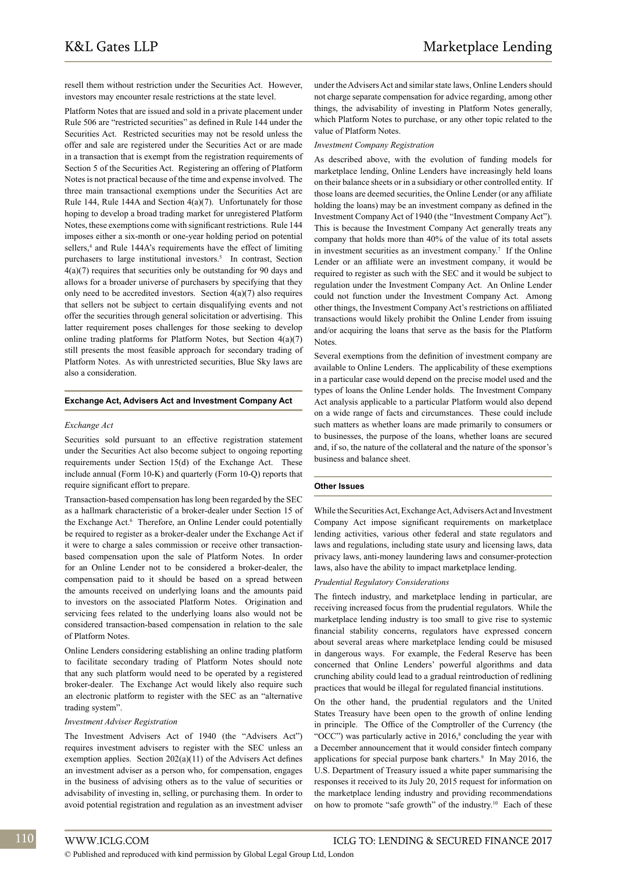resell them without restriction under the Securities Act. However, investors may encounter resale restrictions at the state level.

Platform Notes that are issued and sold in a private placement under Rule 506 are "restricted securities" as defined in Rule 144 under the Securities Act. Restricted securities may not be resold unless the offer and sale are registered under the Securities Act or are made in a transaction that is exempt from the registration requirements of Section 5 of the Securities Act. Registering an offering of Platform Notes is not practical because of the time and expense involved. The three main transactional exemptions under the Securities Act are Rule 144, Rule 144A and Section 4(a)(7). Unfortunately for those hoping to develop a broad trading market for unregistered Platform Notes, these exemptions come with significant restrictions. Rule 144 imposes either a six-month or one-year holding period on potential sellers,<sup>4</sup> and Rule 144A's requirements have the effect of limiting purchasers to large institutional investors.<sup>5</sup> In contrast, Section 4(a)(7) requires that securities only be outstanding for 90 days and allows for a broader universe of purchasers by specifying that they only need to be accredited investors. Section  $4(a)(7)$  also requires that sellers not be subject to certain disqualifying events and not offer the securities through general solicitation or advertising. This latter requirement poses challenges for those seeking to develop online trading platforms for Platform Notes, but Section 4(a)(7) still presents the most feasible approach for secondary trading of Platform Notes. As with unrestricted securities, Blue Sky laws are also a consideration.

#### **Exchange Act, Advisers Act and Investment Company Act**

#### *Exchange Act*

Securities sold pursuant to an effective registration statement under the Securities Act also become subject to ongoing reporting requirements under Section 15(d) of the Exchange Act. These include annual (Form 10-K) and quarterly (Form 10-Q) reports that require significant effort to prepare.

Transaction-based compensation has long been regarded by the SEC as a hallmark characteristic of a broker-dealer under Section 15 of the Exchange Act.<sup>6</sup> Therefore, an Online Lender could potentially be required to register as a broker-dealer under the Exchange Act if it were to charge a sales commission or receive other transactionbased compensation upon the sale of Platform Notes. In order for an Online Lender not to be considered a broker-dealer, the compensation paid to it should be based on a spread between the amounts received on underlying loans and the amounts paid to investors on the associated Platform Notes. Origination and servicing fees related to the underlying loans also would not be considered transaction-based compensation in relation to the sale of Platform Notes.

Online Lenders considering establishing an online trading platform to facilitate secondary trading of Platform Notes should note that any such platform would need to be operated by a registered broker-dealer. The Exchange Act would likely also require such an electronic platform to register with the SEC as an "alternative trading system".

#### *Investment Adviser Registration*

The Investment Advisers Act of 1940 (the "Advisers Act") requires investment advisers to register with the SEC unless an exemption applies. Section 202(a)(11) of the Advisers Act defines an investment adviser as a person who, for compensation, engages in the business of advising others as to the value of securities or advisability of investing in, selling, or purchasing them. In order to avoid potential registration and regulation as an investment adviser

under the Advisers Act and similar state laws, Online Lenders should not charge separate compensation for advice regarding, among other things, the advisability of investing in Platform Notes generally, which Platform Notes to purchase, or any other topic related to the value of Platform Notes.

#### *Investment Company Registration*

As described above, with the evolution of funding models for marketplace lending, Online Lenders have increasingly held loans on their balance sheets or in a subsidiary or other controlled entity. If those loans are deemed securities, the Online Lender (or any affiliate holding the loans) may be an investment company as defined in the Investment Company Act of 1940 (the "Investment Company Act"). This is because the Investment Company Act generally treats any company that holds more than 40% of the value of its total assets in investment securities as an investment company.<sup>7</sup> If the Online Lender or an affiliate were an investment company, it would be required to register as such with the SEC and it would be subject to regulation under the Investment Company Act. An Online Lender could not function under the Investment Company Act. Among other things, the Investment Company Act's restrictions on affiliated transactions would likely prohibit the Online Lender from issuing and/or acquiring the loans that serve as the basis for the Platform **Notes**.

Several exemptions from the definition of investment company are available to Online Lenders. The applicability of these exemptions in a particular case would depend on the precise model used and the types of loans the Online Lender holds. The Investment Company Act analysis applicable to a particular Platform would also depend on a wide range of facts and circumstances. These could include such matters as whether loans are made primarily to consumers or to businesses, the purpose of the loans, whether loans are secured and, if so, the nature of the collateral and the nature of the sponsor's business and balance sheet.

#### **Other Issues**

While the Securities Act, Exchange Act, Advisers Act and Investment Company Act impose significant requirements on marketplace lending activities, various other federal and state regulators and laws and regulations, including state usury and licensing laws, data privacy laws, anti-money laundering laws and consumer-protection laws, also have the ability to impact marketplace lending.

#### *Prudential Regulatory Considerations*

The fintech industry, and marketplace lending in particular, are receiving increased focus from the prudential regulators. While the marketplace lending industry is too small to give rise to systemic financial stability concerns, regulators have expressed concern about several areas where marketplace lending could be misused in dangerous ways. For example, the Federal Reserve has been concerned that Online Lenders' powerful algorithms and data crunching ability could lead to a gradual reintroduction of redlining practices that would be illegal for regulated financial institutions.

On the other hand, the prudential regulators and the United States Treasury have been open to the growth of online lending in principle. The Office of the Comptroller of the Currency (the " $OCC$ ") was particularly active in 2016, $\textdegree$  concluding the year with a December announcement that it would consider fintech company applications for special purpose bank charters.<sup>9</sup> In May 2016, the U.S. Department of Treasury issued a white paper summarising the responses it received to its July 20, 2015 request for information on the marketplace lending industry and providing recommendations on how to promote "safe growth" of the industry.10 Each of these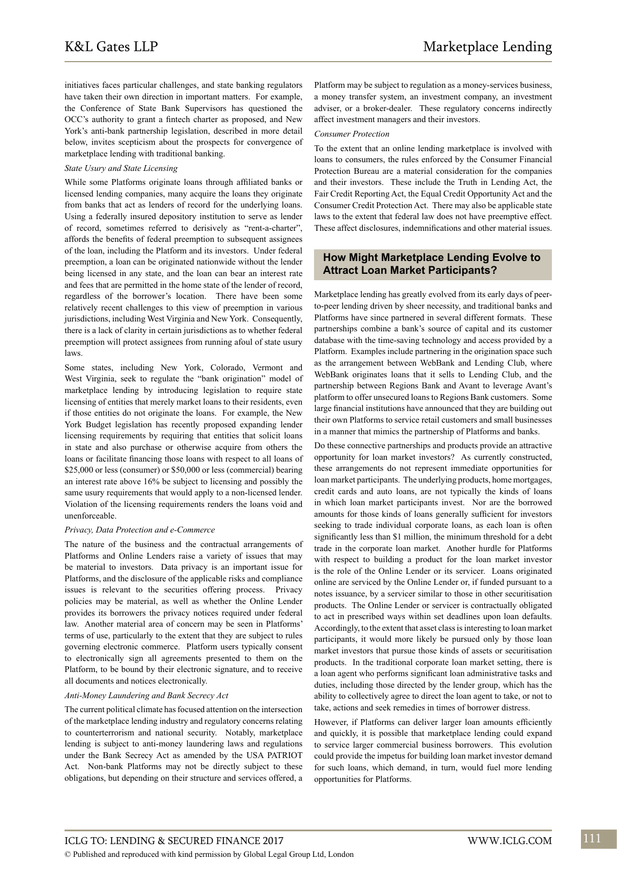initiatives faces particular challenges, and state banking regulators have taken their own direction in important matters. For example, the Conference of State Bank Supervisors has questioned the OCC's authority to grant a fintech charter as proposed, and New York's anti-bank partnership legislation, described in more detail below, invites scepticism about the prospects for convergence of marketplace lending with traditional banking.

#### *State Usury and State Licensing*

While some Platforms originate loans through affiliated banks or licensed lending companies, many acquire the loans they originate from banks that act as lenders of record for the underlying loans. Using a federally insured depository institution to serve as lender of record, sometimes referred to derisively as "rent-a-charter", affords the benefits of federal preemption to subsequent assignees of the loan, including the Platform and its investors. Under federal preemption, a loan can be originated nationwide without the lender being licensed in any state, and the loan can bear an interest rate and fees that are permitted in the home state of the lender of record, regardless of the borrower's location. There have been some relatively recent challenges to this view of preemption in various jurisdictions, including West Virginia and New York. Consequently, there is a lack of clarity in certain jurisdictions as to whether federal preemption will protect assignees from running afoul of state usury laws.

Some states, including New York, Colorado, Vermont and West Virginia, seek to regulate the "bank origination" model of marketplace lending by introducing legislation to require state licensing of entities that merely market loans to their residents, even if those entities do not originate the loans. For example, the New York Budget legislation has recently proposed expanding lender licensing requirements by requiring that entities that solicit loans in state and also purchase or otherwise acquire from others the loans or facilitate financing those loans with respect to all loans of \$25,000 or less (consumer) or \$50,000 or less (commercial) bearing an interest rate above 16% be subject to licensing and possibly the same usury requirements that would apply to a non-licensed lender. Violation of the licensing requirements renders the loans void and unenforceable.

#### *Privacy, Data Protection and e-Commerce*

The nature of the business and the contractual arrangements of Platforms and Online Lenders raise a variety of issues that may be material to investors. Data privacy is an important issue for Platforms, and the disclosure of the applicable risks and compliance issues is relevant to the securities offering process. Privacy policies may be material, as well as whether the Online Lender provides its borrowers the privacy notices required under federal law. Another material area of concern may be seen in Platforms' terms of use, particularly to the extent that they are subject to rules governing electronic commerce. Platform users typically consent to electronically sign all agreements presented to them on the Platform, to be bound by their electronic signature, and to receive all documents and notices electronically.

#### *Anti-Money Laundering and Bank Secrecy Act*

The current political climate has focused attention on the intersection of the marketplace lending industry and regulatory concerns relating to counterterrorism and national security. Notably, marketplace lending is subject to anti-money laundering laws and regulations under the Bank Secrecy Act as amended by the USA PATRIOT Act. Non-bank Platforms may not be directly subject to these obligations, but depending on their structure and services offered, a Platform may be subject to regulation as a money-services business, a money transfer system, an investment company, an investment adviser, or a broker-dealer. These regulatory concerns indirectly affect investment managers and their investors.

#### *Consumer Protection*

To the extent that an online lending marketplace is involved with loans to consumers, the rules enforced by the Consumer Financial Protection Bureau are a material consideration for the companies and their investors. These include the Truth in Lending Act, the Fair Credit Reporting Act, the Equal Credit Opportunity Act and the Consumer Credit Protection Act. There may also be applicable state laws to the extent that federal law does not have preemptive effect. These affect disclosures, indemnifications and other material issues.

#### **How Might Marketplace Lending Evolve to Attract Loan Market Participants?**

Marketplace lending has greatly evolved from its early days of peerto-peer lending driven by sheer necessity, and traditional banks and Platforms have since partnered in several different formats. These partnerships combine a bank's source of capital and its customer database with the time-saving technology and access provided by a Platform. Examples include partnering in the origination space such as the arrangement between WebBank and Lending Club, where WebBank originates loans that it sells to Lending Club, and the partnership between Regions Bank and Avant to leverage Avant's platform to offer unsecured loans to Regions Bank customers. Some large financial institutions have announced that they are building out their own Platforms to service retail customers and small businesses in a manner that mimics the partnership of Platforms and banks.

Do these connective partnerships and products provide an attractive opportunity for loan market investors? As currently constructed, these arrangements do not represent immediate opportunities for loan market participants. The underlying products, home mortgages, credit cards and auto loans, are not typically the kinds of loans in which loan market participants invest. Nor are the borrowed amounts for those kinds of loans generally sufficient for investors seeking to trade individual corporate loans, as each loan is often significantly less than \$1 million, the minimum threshold for a debt trade in the corporate loan market. Another hurdle for Platforms with respect to building a product for the loan market investor is the role of the Online Lender or its servicer. Loans originated online are serviced by the Online Lender or, if funded pursuant to a notes issuance, by a servicer similar to those in other securitisation products. The Online Lender or servicer is contractually obligated to act in prescribed ways within set deadlines upon loan defaults. Accordingly, to the extent that asset class is interesting to loan market participants, it would more likely be pursued only by those loan market investors that pursue those kinds of assets or securitisation products. In the traditional corporate loan market setting, there is a loan agent who performs significant loan administrative tasks and duties, including those directed by the lender group, which has the ability to collectively agree to direct the loan agent to take, or not to take, actions and seek remedies in times of borrower distress.

However, if Platforms can deliver larger loan amounts efficiently and quickly, it is possible that marketplace lending could expand to service larger commercial business borrowers. This evolution could provide the impetus for building loan market investor demand for such loans, which demand, in turn, would fuel more lending opportunities for Platforms.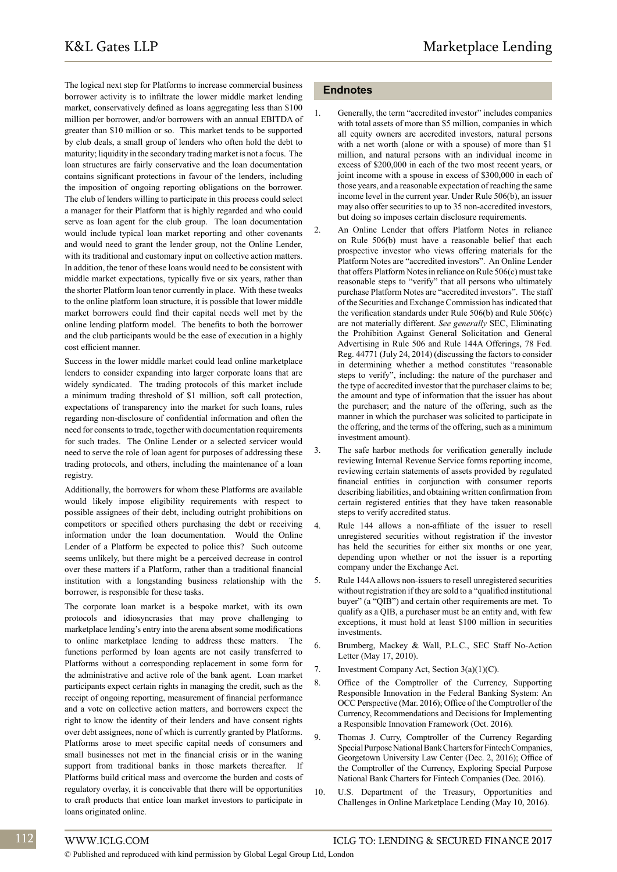The logical next step for Platforms to increase commercial business borrower activity is to infiltrate the lower middle market lending market, conservatively defined as loans aggregating less than \$100 million per borrower, and/or borrowers with an annual EBITDA of greater than \$10 million or so. This market tends to be supported by club deals, a small group of lenders who often hold the debt to maturity; liquidity in the secondary trading market is not a focus. The loan structures are fairly conservative and the loan documentation contains significant protections in favour of the lenders, including the imposition of ongoing reporting obligations on the borrower. The club of lenders willing to participate in this process could select a manager for their Platform that is highly regarded and who could serve as loan agent for the club group. The loan documentation would include typical loan market reporting and other covenants and would need to grant the lender group, not the Online Lender, with its traditional and customary input on collective action matters. In addition, the tenor of these loans would need to be consistent with middle market expectations, typically five or six years, rather than the shorter Platform loan tenor currently in place. With these tweaks to the online platform loan structure, it is possible that lower middle market borrowers could find their capital needs well met by the online lending platform model. The benefits to both the borrower and the club participants would be the ease of execution in a highly cost efficient manner.

Success in the lower middle market could lead online marketplace lenders to consider expanding into larger corporate loans that are widely syndicated. The trading protocols of this market include a minimum trading threshold of \$1 million, soft call protection, expectations of transparency into the market for such loans, rules regarding non-disclosure of confidential information and often the need for consents to trade, together with documentation requirements for such trades. The Online Lender or a selected servicer would need to serve the role of loan agent for purposes of addressing these trading protocols, and others, including the maintenance of a loan registry.

Additionally, the borrowers for whom these Platforms are available would likely impose eligibility requirements with respect to possible assignees of their debt, including outright prohibitions on competitors or specified others purchasing the debt or receiving information under the loan documentation. Would the Online Lender of a Platform be expected to police this? Such outcome seems unlikely, but there might be a perceived decrease in control over these matters if a Platform, rather than a traditional financial institution with a longstanding business relationship with the borrower, is responsible for these tasks.

The corporate loan market is a bespoke market, with its own protocols and idiosyncrasies that may prove challenging to marketplace lending's entry into the arena absent some modifications to online marketplace lending to address these matters. The functions performed by loan agents are not easily transferred to Platforms without a corresponding replacement in some form for the administrative and active role of the bank agent. Loan market participants expect certain rights in managing the credit, such as the receipt of ongoing reporting, measurement of financial performance and a vote on collective action matters, and borrowers expect the right to know the identity of their lenders and have consent rights over debt assignees, none of which is currently granted by Platforms. Platforms arose to meet specific capital needs of consumers and small businesses not met in the financial crisis or in the waning support from traditional banks in those markets thereafter. If Platforms build critical mass and overcome the burden and costs of regulatory overlay, it is conceivable that there will be opportunities to craft products that entice loan market investors to participate in loans originated online.

#### **Endnotes**

- Generally, the term "accredited investor" includes companies with total assets of more than \$5 million, companies in which all equity owners are accredited investors, natural persons with a net worth (alone or with a spouse) of more than \$1 million, and natural persons with an individual income in excess of \$200,000 in each of the two most recent years, or joint income with a spouse in excess of \$300,000 in each of those years, and a reasonable expectation of reaching the same income level in the current year. Under Rule 506(b), an issuer may also offer securities to up to 35 non-accredited investors, but doing so imposes certain disclosure requirements.
- 2. An Online Lender that offers Platform Notes in reliance on Rule 506(b) must have a reasonable belief that each prospective investor who views offering materials for the Platform Notes are "accredited investors". An Online Lender that offers Platform Notes in reliance on Rule 506(c) must take reasonable steps to "verify" that all persons who ultimately purchase Platform Notes are "accredited investors". The staff of the Securities and Exchange Commission has indicated that the verification standards under Rule 506(b) and Rule 506(c) are not materially different. *See generally* SEC, Eliminating the Prohibition Against General Solicitation and General Advertising in Rule 506 and Rule 144A Offerings, 78 Fed. Reg. 44771 (July 24, 2014) (discussing the factors to consider in determining whether a method constitutes "reasonable steps to verify", including: the nature of the purchaser and the type of accredited investor that the purchaser claims to be; the amount and type of information that the issuer has about the purchaser; and the nature of the offering, such as the manner in which the purchaser was solicited to participate in the offering, and the terms of the offering, such as a minimum investment amount).
- 3. The safe harbor methods for verification generally include reviewing Internal Revenue Service forms reporting income, reviewing certain statements of assets provided by regulated financial entities in conjunction with consumer reports describing liabilities, and obtaining written confirmation from certain registered entities that they have taken reasonable steps to verify accredited status.
- 4. Rule 144 allows a non-affiliate of the issuer to resell unregistered securities without registration if the investor has held the securities for either six months or one year, depending upon whether or not the issuer is a reporting company under the Exchange Act.
- 5. Rule 144A allows non-issuers to resell unregistered securities without registration if they are sold to a "qualified institutional buyer" (a "QIB") and certain other requirements are met. To qualify as a QIB, a purchaser must be an entity and, with few exceptions, it must hold at least \$100 million in securities investments.
- 6. Brumberg, Mackey & Wall, P.L.C., SEC Staff No-Action Letter (May 17, 2010).
- 7. Investment Company Act, Section 3(a)(1)(C).
- 8. Office of the Comptroller of the Currency, Supporting Responsible Innovation in the Federal Banking System: An OCC Perspective (Mar. 2016); Office of the Comptroller of the Currency, Recommendations and Decisions for Implementing a Responsible Innovation Framework (Oct. 2016).
- 9. Thomas J. Curry, Comptroller of the Currency Regarding Special Purpose National Bank Charters for Fintech Companies, Georgetown University Law Center (Dec. 2, 2016); Office of the Comptroller of the Currency, Exploring Special Purpose National Bank Charters for Fintech Companies (Dec. 2016).
- 10. U.S. Department of the Treasury, Opportunities and Challenges in Online Marketplace Lending (May 10, 2016).

© Published and reproduced with kind permission by Global Legal Group Ltd, London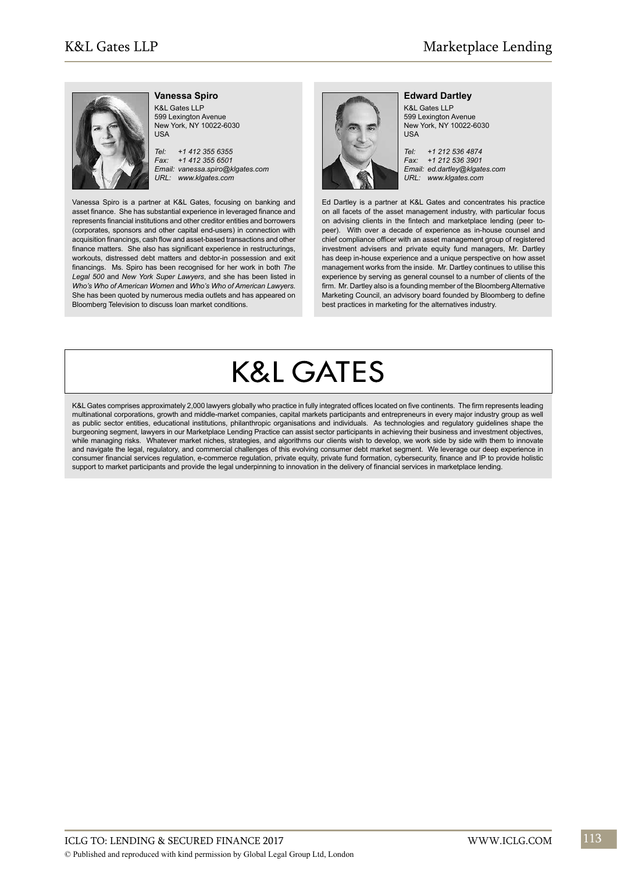

#### **Vanessa Spiro**

K&L Gates LLP 599 Lexington Avenue New York, NY 10022-6030 USA

*Tel: +1 412 355 6355 Fax: +1 412 355 6501 Email: vanessa.spiro@klgates.com URL: www.klgates.com*

Vanessa Spiro is a partner at K&L Gates, focusing on banking and asset finance. She has substantial experience in leveraged finance and represents financial institutions and other creditor entities and borrowers (corporates, sponsors and other capital end-users) in connection with acquisition financings, cash flow and asset-based transactions and other finance matters. She also has significant experience in restructurings, workouts, distressed debt matters and debtor-in possession and exit financings. Ms. Spiro has been recognised for her work in both *The Legal 500* and *New York Super Lawyers*, and she has been listed in *Who's Who of American Women* and *Who's Who of American Lawyers*. She has been quoted by numerous media outlets and has appeared on Bloomberg Television to discuss loan market conditions.



#### **Edward Dartley**

K&L Gates LLP 599 Lexington Avenue New York, NY 10022-6030 USA

*Tel: +1 212 536 4874 Fax: +1 212 536 3901 Email: ed.dartley@klgates.com URL: www.klgates.com*

Ed Dartley is a partner at K&L Gates and concentrates his practice on all facets of the asset management industry, with particular focus on advising clients in the fintech and marketplace lending (peer topeer). With over a decade of experience as in-house counsel and chief compliance officer with an asset management group of registered investment advisers and private equity fund managers, Mr. Dartley has deep in-house experience and a unique perspective on how asset management works from the inside. Mr. Dartley continues to utilise this experience by serving as general counsel to a number of clients of the firm. Mr. Dartley also is a founding member of the Bloomberg Alternative Marketing Council, an advisory board founded by Bloomberg to define best practices in marketing for the alternatives industry.

# **K&L GATES**

K&L Gates comprises approximately 2,000 lawyers globally who practice in fully integrated offices located on five continents. The firm represents leading multinational corporations, growth and middle-market companies, capital markets participants and entrepreneurs in every major industry group as well as public sector entities, educational institutions, philanthropic organisations and individuals. As technologies and regulatory guidelines shape the burgeoning segment, lawyers in our Marketplace Lending Practice can assist sector participants in achieving their business and investment objectives, while managing risks. Whatever market niches, strategies, and algorithms our clients wish to develop, we work side by side with them to innovate and navigate the legal, regulatory, and commercial challenges of this evolving consumer debt market segment. We leverage our deep experience in consumer financial services regulation, e-commerce regulation, private equity, private fund formation, cybersecurity, finance and IP to provide holistic support to market participants and provide the legal underpinning to innovation in the delivery of financial services in marketplace lending.